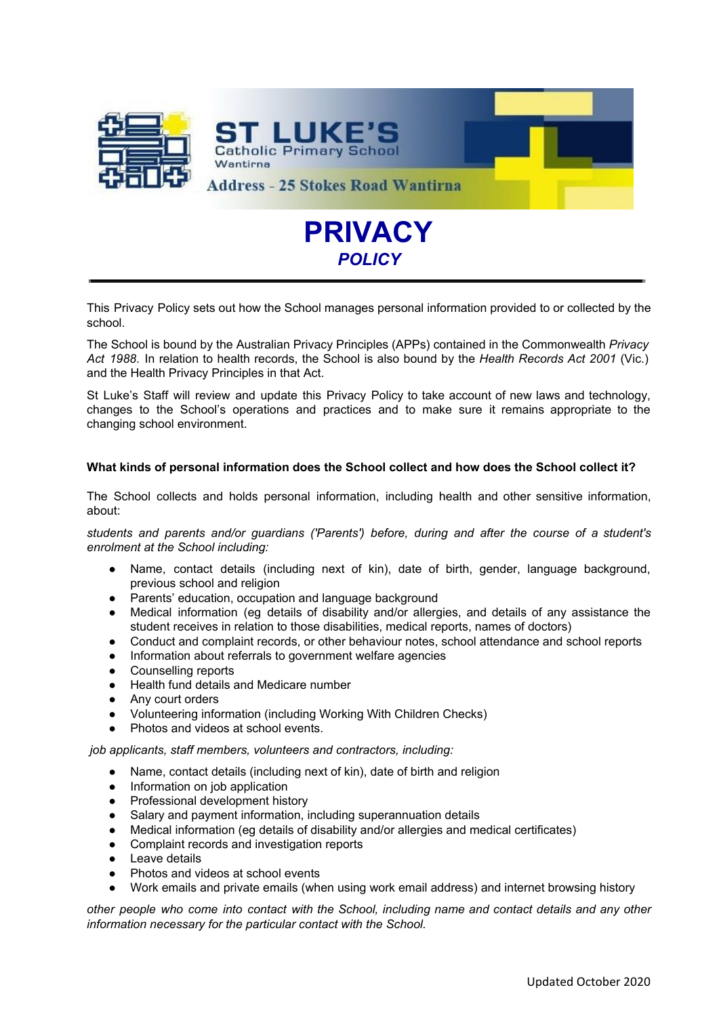

# **PRIVACY** *POLICY*

This Privacy Policy sets out how the School manages personal information provided to or collected by the school.

The School is bound by the Australian Privacy Principles (APPs) contained in the Commonwealth *Privacy Act 1988*. In relation to health records, the School is also bound by the *Health Records Act 2001* (Vic.) and the Health Privacy Principles in that Act.

St Luke's Staff will review and update this Privacy Policy to take account of new laws and technology, changes to the School's operations and practices and to make sure it remains appropriate to the changing school environment.

## **What kinds of personal information does the School collect and how does the School collect it?**

The School collects and holds personal information, including health and other sensitive information, about:

*students and parents and/or guardians ('Parents') before, during and after the course of a student's enrolment at the School including:*

- Name, contact details (including next of kin), date of birth, gender, language background, previous school and religion
- Parents' education, occupation and language background
- Medical information (eg details of disability and/or allergies, and details of any assistance the student receives in relation to those disabilities, medical reports, names of doctors)
- Conduct and complaint records, or other behaviour notes, school attendance and school reports
- Information about referrals to government welfare agencies
- Counselling reports
- Health fund details and Medicare number
- Any court orders
- Volunteering information (including Working With Children Checks)
- Photos and videos at school events.

*job applicants, staff members, volunteers and contractors, including:*

- Name, contact details (including next of kin), date of birth and religion
- Information on job application
- Professional development history
- Salary and payment information, including superannuation details
- Medical information (eg details of disability and/or allergies and medical certificates)
- Complaint records and investigation reports
- Leave details
- Photos and videos at school events
- Work emails and private emails (when using work email address) and internet browsing history

*other people who come into contact with the School, including name and contact details and any other information necessary for the particular contact with the School.*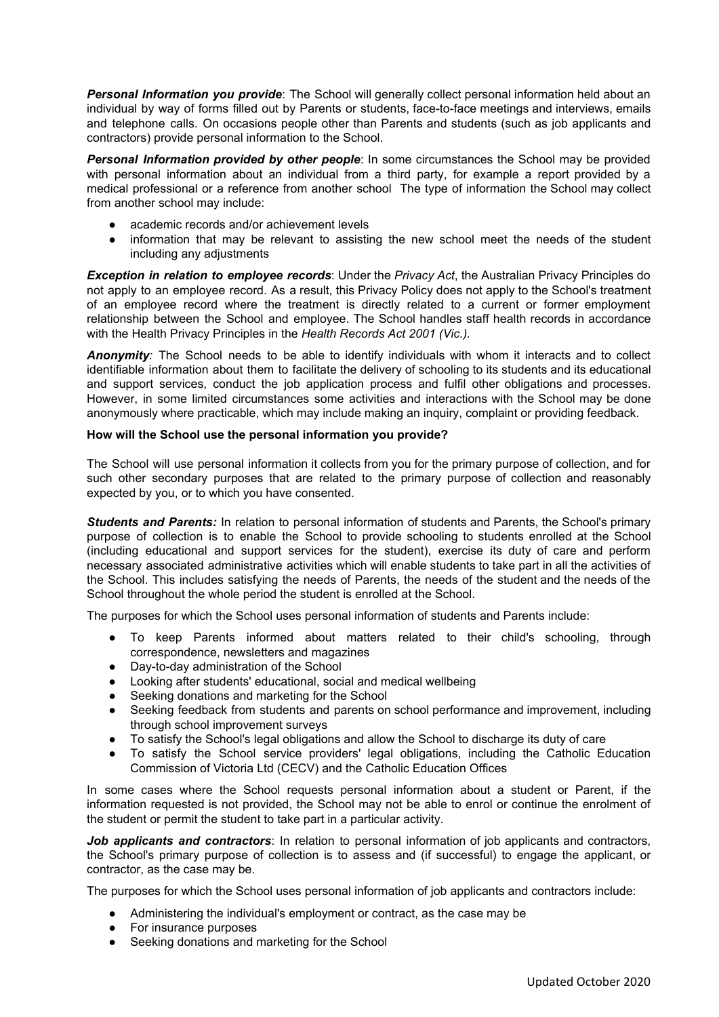*Personal Information you provide*: The School will generally collect personal information held about an individual by way of forms filled out by Parents or students, face-to-face meetings and interviews, emails and telephone calls. On occasions people other than Parents and students (such as job applicants and contractors) provide personal information to the School.

*Personal Information provided by other people*: In some circumstances the School may be provided with personal information about an individual from a third party, for example a report provided by a medical professional or a reference from another school The type of information the School may collect from another school may include:

- academic records and/or achievement levels
- information that may be relevant to assisting the new school meet the needs of the student including any adjustments

*Exception in relation to employee records*: Under the *Privacy Act*, the Australian Privacy Principles do not apply to an employee record. As a result, this Privacy Policy does not apply to the School's treatment of an employee record where the treatment is directly related to a current or former employment relationship between the School and employee. The School handles staff health records in accordance with the Health Privacy Principles in the *Health Records Act 2001 (Vic.).*

*Anonymity:* The School needs to be able to identify individuals with whom it interacts and to collect identifiable information about them to facilitate the delivery of schooling to its students and its educational and support services, conduct the job application process and fulfil other obligations and processes. However, in some limited circumstances some activities and interactions with the School may be done anonymously where practicable, which may include making an inquiry, complaint or providing feedback.

# **How will the School use the personal information you provide?**

The School will use personal information it collects from you for the primary purpose of collection, and for such other secondary purposes that are related to the primary purpose of collection and reasonably expected by you, or to which you have consented.

*Students and Parents:* In relation to personal information of students and Parents, the School's primary purpose of collection is to enable the School to provide schooling to students enrolled at the School (including educational and support services for the student), exercise its duty of care and perform necessary associated administrative activities which will enable students to take part in all the activities of the School. This includes satisfying the needs of Parents, the needs of the student and the needs of the School throughout the whole period the student is enrolled at the School.

The purposes for which the School uses personal information of students and Parents include:

- To keep Parents informed about matters related to their child's schooling, through correspondence, newsletters and magazines
- Day-to-day administration of the School
- Looking after students' educational, social and medical wellbeing
- Seeking donations and marketing for the School
- Seeking feedback from students and parents on school performance and improvement, including through school improvement surveys
- To satisfy the School's legal obligations and allow the School to discharge its duty of care
- To satisfy the School service providers' legal obligations, including the Catholic Education Commission of Victoria Ltd (CECV) and the Catholic Education Offices

In some cases where the School requests personal information about a student or Parent, if the information requested is not provided, the School may not be able to enrol or continue the enrolment of the student or permit the student to take part in a particular activity.

*Job applicants and contractors*: In relation to personal information of job applicants and contractors, the School's primary purpose of collection is to assess and (if successful) to engage the applicant, or contractor, as the case may be.

The purposes for which the School uses personal information of job applicants and contractors include:

- Administering the individual's employment or contract, as the case may be
- For insurance purposes
- Seeking donations and marketing for the School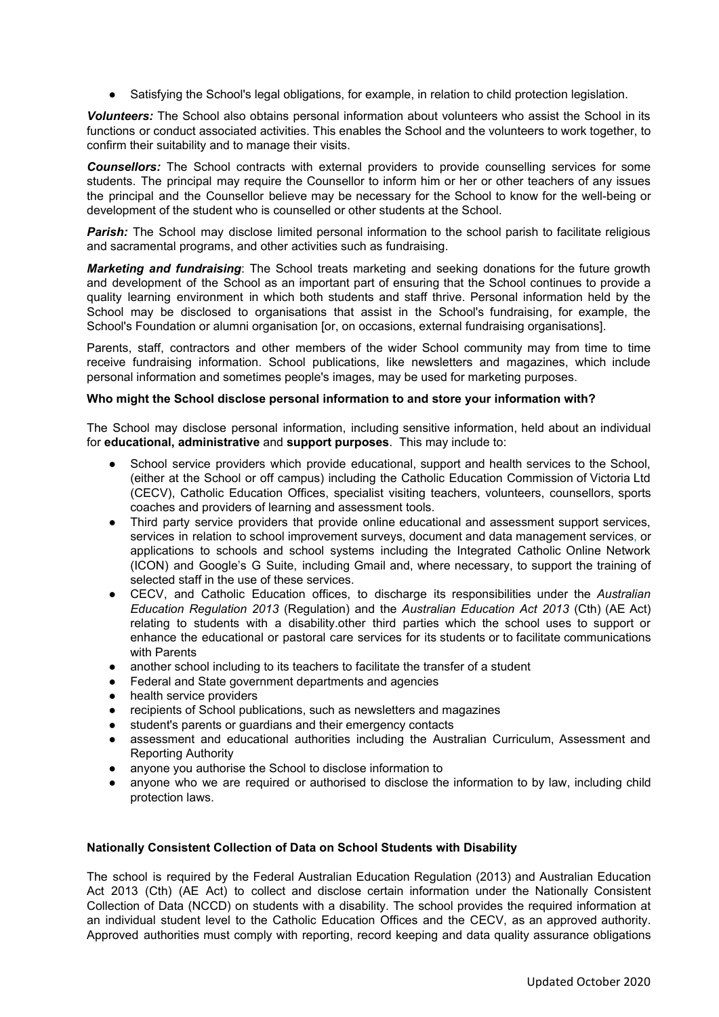• Satisfying the School's legal obligations, for example, in relation to child protection legislation.

*Volunteers:* The School also obtains personal information about volunteers who assist the School in its functions or conduct associated activities. This enables the School and the volunteers to work together, to confirm their suitability and to manage their visits.

*Counsellors:* The School contracts with external providers to provide counselling services for some students. The principal may require the Counsellor to inform him or her or other teachers of any issues the principal and the Counsellor believe may be necessary for the School to know for the well-being or development of the student who is counselled or other students at the School.

**Parish:** The School may disclose limited personal information to the school parish to facilitate religious and sacramental programs, and other activities such as fundraising.

*Marketing and fundraising*: The School treats marketing and seeking donations for the future growth and development of the School as an important part of ensuring that the School continues to provide a quality learning environment in which both students and staff thrive. Personal information held by the School may be disclosed to organisations that assist in the School's fundraising, for example, the School's Foundation or alumni organisation [or, on occasions, external fundraising organisations].

Parents, staff, contractors and other members of the wider School community may from time to time receive fundraising information. School publications, like newsletters and magazines, which include personal information and sometimes people's images, may be used for marketing purposes.

## **Who might the School disclose personal information to and store your information with?**

The School may disclose personal information, including sensitive information, held about an individual for **educational, administrative** and **support purposes**. This may include to:

- School service providers which provide educational, support and health services to the School, (either at the School or off campus) including the Catholic Education Commission of Victoria Ltd (CECV), Catholic Education Offices, specialist visiting teachers, volunteers, counsellors, sports coaches and providers of learning and assessment tools.
- Third party service providers that provide online educational and assessment support services, services in relation to school improvement surveys, document and data management services, or applications to schools and school systems including the Integrated Catholic Online Network (ICON) and Google's G Suite, including Gmail and, where necessary, to support the training of selected staff in the use of these services.
- CECV, and Catholic Education offices, to discharge its responsibilities under the *Australian Education Regulation 2013* (Regulation) and the *Australian Education Act 2013* (Cth) (AE Act) relating to students with a disability.other third parties which the school uses to support or enhance the educational or pastoral care services for its students or to facilitate communications with Parents
- another school including to its teachers to facilitate the transfer of a student
- Federal and State government departments and agencies
- health service providers
- recipients of School publications, such as newsletters and magazines
- student's parents or guardians and their emergency contacts
- assessment and educational authorities including the Australian Curriculum, Assessment and Reporting Authority
- anyone you authorise the School to disclose information to
- anyone who we are required or authorised to disclose the information to by law, including child protection laws.

## **Nationally Consistent Collection of Data on School Students with Disability**

The school is required by the Federal Australian Education Regulation (2013) and Australian Education Act 2013 (Cth) (AE Act) to collect and disclose certain information under the Nationally Consistent Collection of Data (NCCD) on students with a disability. The school provides the required information at an individual student level to the Catholic Education Offices and the CECV, as an approved authority. Approved authorities must comply with reporting, record keeping and data quality assurance obligations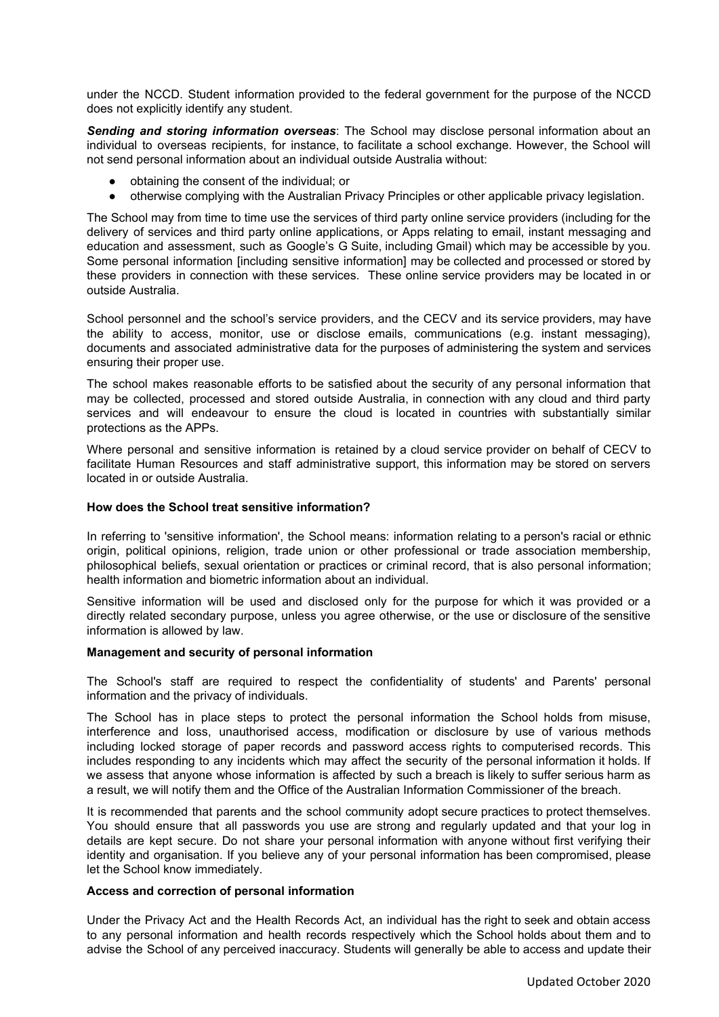under the NCCD. Student information provided to the federal government for the purpose of the NCCD does not explicitly identify any student.

*Sending and storing information overseas*: The School may disclose personal information about an individual to overseas recipients, for instance, to facilitate a school exchange. However, the School will not send personal information about an individual outside Australia without:

- obtaining the consent of the individual; or
- otherwise complying with the Australian Privacy Principles or other applicable privacy legislation.

The School may from time to time use the services of third party online service providers (including for the delivery of services and third party online applications, or Apps relating to email, instant messaging and education and assessment, such as Google's G Suite, including Gmail) which may be accessible by you. Some personal information [including sensitive information] may be collected and processed or stored by these providers in connection with these services. These online service providers may be located in or outside Australia.

School personnel and the school's service providers, and the CECV and its service providers, may have the ability to access, monitor, use or disclose emails, communications (e.g. instant messaging), documents and associated administrative data for the purposes of administering the system and services ensuring their proper use.

The school makes reasonable efforts to be satisfied about the security of any personal information that may be collected, processed and stored outside Australia, in connection with any cloud and third party services and will endeavour to ensure the cloud is located in countries with substantially similar protections as the APPs.

Where personal and sensitive information is retained by a cloud service provider on behalf of CECV to facilitate Human Resources and staff administrative support, this information may be stored on servers located in or outside Australia.

## **How does the School treat sensitive information?**

In referring to 'sensitive information', the School means: information relating to a person's racial or ethnic origin, political opinions, religion, trade union or other professional or trade association membership, philosophical beliefs, sexual orientation or practices or criminal record, that is also personal information; health information and biometric information about an individual.

Sensitive information will be used and disclosed only for the purpose for which it was provided or a directly related secondary purpose, unless you agree otherwise, or the use or disclosure of the sensitive information is allowed by law.

## **Management and security of personal information**

The School's staff are required to respect the confidentiality of students' and Parents' personal information and the privacy of individuals.

The School has in place steps to protect the personal information the School holds from misuse, interference and loss, unauthorised access, modification or disclosure by use of various methods including locked storage of paper records and password access rights to computerised records. This includes responding to any incidents which may affect the security of the personal information it holds. If we assess that anyone whose information is affected by such a breach is likely to suffer serious harm as a result, we will notify them and the Office of the Australian Information Commissioner of the breach.

It is recommended that parents and the school community adopt secure practices to protect themselves. You should ensure that all passwords you use are strong and regularly updated and that your log in details are kept secure. Do not share your personal information with anyone without first verifying their identity and organisation. If you believe any of your personal information has been compromised, please let the School know immediately.

## **Access and correction of personal information**

Under the Privacy Act and the Health Records Act, an individual has the right to seek and obtain access to any personal information and health records respectively which the School holds about them and to advise the School of any perceived inaccuracy. Students will generally be able to access and update their